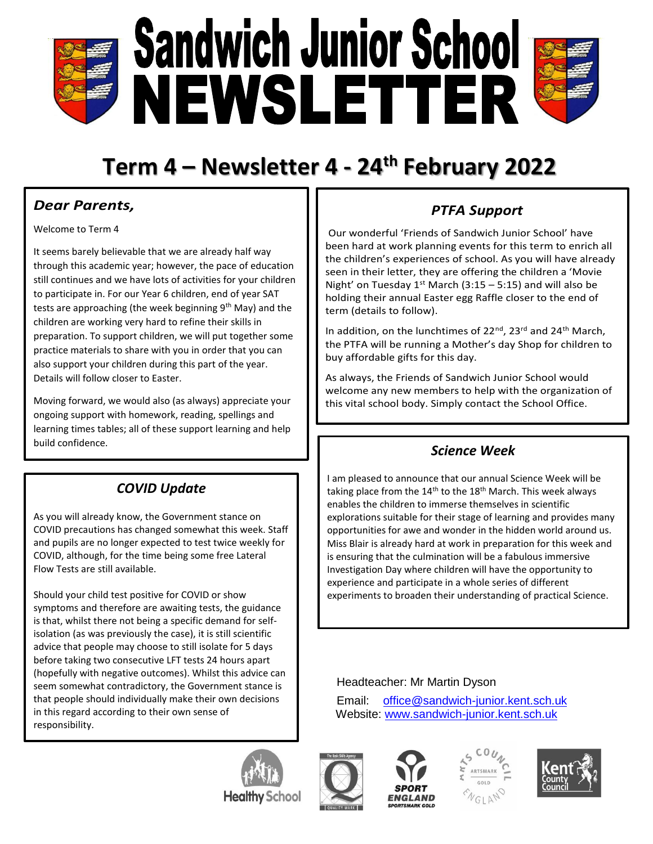

## **Term 4 – Newsletter 4 - 24th February 2022**

#### *Dear Parents,*

Welcome to Term 4

It seems barely believable that we are already half way through this academic year; however, the pace of education still continues and we have lots of activities for your children to participate in. For our Year 6 children, end of year SAT tests are approaching (the week beginning 9<sup>th</sup> May) and the children are working very hard to refine their skills in preparation. To support children, we will put together some practice materials to share with you in order that you can also support your children during this part of the year. Details will follow closer to Easter.

Moving forward, we would also (as always) appreciate your ongoing support with homework, reading, spellings and learning times tables; all of these support learning and help build confidence. *Science Week*

#### *COVID Update*

As you will already know, the Government stance on COVID precautions has changed somewhat this week. Staff and pupils are no longer expected to test twice weekly for COVID, although, for the time being some free Lateral Flow Tests are still available.

Should your child test positive for COVID or show symptoms and therefore are awaiting tests, the guidance is that, whilst there not being a specific demand for selfisolation (as was previously the case), it is still scientific advice that people may choose to still isolate for 5 days before taking two consecutive LFT tests 24 hours apart (hopefully with negative outcomes). Whilst this advice can seem somewhat contradictory, the Government stance is that people should individually make their own decisions in this regard according to their own sense of responsibility.

# buy affordable gifts for this day.

term (details to follow).

As always, the Friends of Sandwich Junior School would welcome any new members to help with the organization of this vital school body. Simply contact the School Office.

In addition, on the lunchtimes of  $22^{nd}$ ,  $23^{rd}$  and  $24^{th}$  March, the PTFA will be running a Mother's day Shop for children to

*PTFA Support*

Our wonderful 'Friends of Sandwich Junior School' have been hard at work planning events for this term to enrich all the children's experiences of school. As you will have already seen in their letter, they are offering the children a 'Movie Night' on Tuesday  $1^{st}$  March (3:15 – 5:15) and will also be holding their annual Easter egg Raffle closer to the end of

I am pleased to announce that our annual Science Week will be taking place from the  $14<sup>th</sup>$  to the  $18<sup>th</sup>$  March. This week always enables the children to immerse themselves in scientific explorations suitable for their stage of learning and provides many opportunities for awe and wonder in the hidden world around us. Miss Blair is already hard at work in preparation for this week and is ensuring that the culmination will be a fabulous immersive Investigation Day where children will have the opportunity to experience and participate in a whole series of different experiments to broaden their understanding of practical Science.

#### Headteacher: Mr Martin Dyson

Email: [office@sandwich-junior.kent.sch.uk](mailto:office@sandwich-junior.kent.sch.uk) Website: [www.sandwich-junior.kent.sch.uk](http://www.sandwich-junior.kent.sch.uk/)